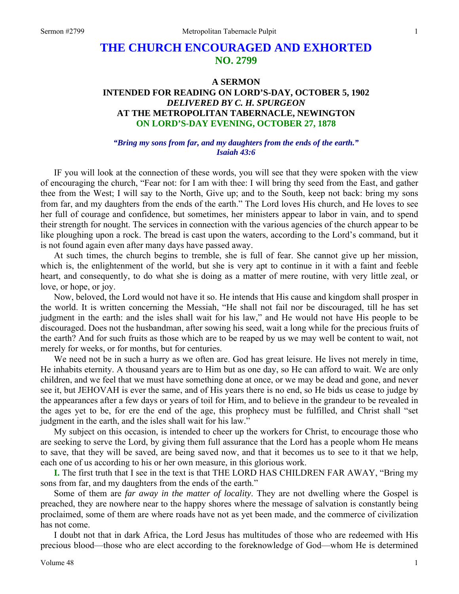# **THE CHURCH ENCOURAGED AND EXHORTED NO. 2799**

# **A SERMON INTENDED FOR READING ON LORD'S-DAY, OCTOBER 5, 1902**  *DELIVERED BY C. H. SPURGEON*  **AT THE METROPOLITAN TABERNACLE, NEWINGTON ON LORD'S-DAY EVENING, OCTOBER 27, 1878**

#### *"Bring my sons from far, and my daughters from the ends of the earth." Isaiah 43:6*

IF you will look at the connection of these words, you will see that they were spoken with the view of encouraging the church, "Fear not: for I am with thee: I will bring thy seed from the East, and gather thee from the West; I will say to the North, Give up; and to the South, keep not back: bring my sons from far, and my daughters from the ends of the earth." The Lord loves His church, and He loves to see her full of courage and confidence, but sometimes, her ministers appear to labor in vain, and to spend their strength for nought. The services in connection with the various agencies of the church appear to be like ploughing upon a rock. The bread is cast upon the waters, according to the Lord's command, but it is not found again even after many days have passed away.

At such times, the church begins to tremble, she is full of fear. She cannot give up her mission, which is, the enlightenment of the world, but she is very apt to continue in it with a faint and feeble heart, and consequently, to do what she is doing as a matter of mere routine, with very little zeal, or love, or hope, or joy.

Now, beloved, the Lord would not have it so. He intends that His cause and kingdom shall prosper in the world. It is written concerning the Messiah, "He shall not fail nor be discouraged, till he has set judgment in the earth: and the isles shall wait for his law," and He would not have His people to be discouraged. Does not the husbandman, after sowing his seed, wait a long while for the precious fruits of the earth? And for such fruits as those which are to be reaped by us we may well be content to wait, not merely for weeks, or for months, but for centuries.

We need not be in such a hurry as we often are. God has great leisure. He lives not merely in time, He inhabits eternity. A thousand years are to Him but as one day, so He can afford to wait. We are only children, and we feel that we must have something done at once, or we may be dead and gone, and never see it, but JEHOVAH is ever the same, and of His years there is no end, so He bids us cease to judge by the appearances after a few days or years of toil for Him, and to believe in the grandeur to be revealed in the ages yet to be, for ere the end of the age, this prophecy must be fulfilled, and Christ shall "set judgment in the earth, and the isles shall wait for his law."

My subject on this occasion, is intended to cheer up the workers for Christ, to encourage those who are seeking to serve the Lord, by giving them full assurance that the Lord has a people whom He means to save, that they will be saved, are being saved now, and that it becomes us to see to it that we help, each one of us according to his or her own measure, in this glorious work.

**I.** The first truth that I see in the text is that THE LORD HAS CHILDREN FAR AWAY, "Bring my sons from far, and my daughters from the ends of the earth."

Some of them are *far away in the matter of locality*. They are not dwelling where the Gospel is preached, they are nowhere near to the happy shores where the message of salvation is constantly being proclaimed, some of them are where roads have not as yet been made, and the commerce of civilization has not come.

I doubt not that in dark Africa, the Lord Jesus has multitudes of those who are redeemed with His precious blood—those who are elect according to the foreknowledge of God—whom He is determined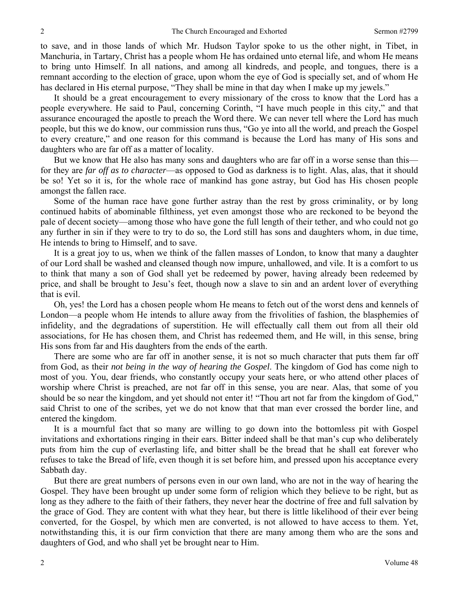to save, and in those lands of which Mr. Hudson Taylor spoke to us the other night, in Tibet, in Manchuria, in Tartary, Christ has a people whom He has ordained unto eternal life, and whom He means to bring unto Himself. In all nations, and among all kindreds, and people, and tongues, there is a remnant according to the election of grace, upon whom the eye of God is specially set, and of whom He has declared in His eternal purpose, "They shall be mine in that day when I make up my jewels."

It should be a great encouragement to every missionary of the cross to know that the Lord has a people everywhere. He said to Paul, concerning Corinth, "I have much people in this city," and that assurance encouraged the apostle to preach the Word there. We can never tell where the Lord has much people, but this we do know, our commission runs thus, "Go ye into all the world, and preach the Gospel to every creature," and one reason for this command is because the Lord has many of His sons and daughters who are far off as a matter of locality.

But we know that He also has many sons and daughters who are far off in a worse sense than this for they are *far off as to character*—as opposed to God as darkness is to light. Alas, alas, that it should be so! Yet so it is, for the whole race of mankind has gone astray, but God has His chosen people amongst the fallen race.

Some of the human race have gone further astray than the rest by gross criminality, or by long continued habits of abominable filthiness, yet even amongst those who are reckoned to be beyond the pale of decent society—among those who have gone the full length of their tether, and who could not go any further in sin if they were to try to do so, the Lord still has sons and daughters whom, in due time, He intends to bring to Himself, and to save.

It is a great joy to us, when we think of the fallen masses of London, to know that many a daughter of our Lord shall be washed and cleansed though now impure, unhallowed, and vile. It is a comfort to us to think that many a son of God shall yet be redeemed by power, having already been redeemed by price, and shall be brought to Jesu's feet, though now a slave to sin and an ardent lover of everything that is evil.

Oh, yes! the Lord has a chosen people whom He means to fetch out of the worst dens and kennels of London—a people whom He intends to allure away from the frivolities of fashion, the blasphemies of infidelity, and the degradations of superstition. He will effectually call them out from all their old associations, for He has chosen them, and Christ has redeemed them, and He will, in this sense, bring His sons from far and His daughters from the ends of the earth.

There are some who are far off in another sense, it is not so much character that puts them far off from God, as their *not being in the way of hearing the Gospel*. The kingdom of God has come nigh to most of you. You, dear friends, who constantly occupy your seats here, or who attend other places of worship where Christ is preached, are not far off in this sense, you are near. Alas, that some of you should be so near the kingdom, and yet should not enter it! "Thou art not far from the kingdom of God," said Christ to one of the scribes, yet we do not know that that man ever crossed the border line, and entered the kingdom.

It is a mournful fact that so many are willing to go down into the bottomless pit with Gospel invitations and exhortations ringing in their ears. Bitter indeed shall be that man's cup who deliberately puts from him the cup of everlasting life, and bitter shall be the bread that he shall eat forever who refuses to take the Bread of life, even though it is set before him, and pressed upon his acceptance every Sabbath day.

But there are great numbers of persons even in our own land, who are not in the way of hearing the Gospel. They have been brought up under some form of religion which they believe to be right, but as long as they adhere to the faith of their fathers, they never hear the doctrine of free and full salvation by the grace of God. They are content with what they hear, but there is little likelihood of their ever being converted, for the Gospel, by which men are converted, is not allowed to have access to them. Yet, notwithstanding this, it is our firm conviction that there are many among them who are the sons and daughters of God, and who shall yet be brought near to Him.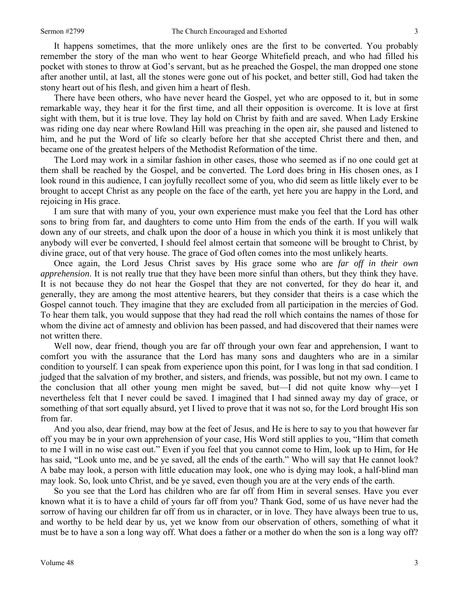It happens sometimes, that the more unlikely ones are the first to be converted. You probably remember the story of the man who went to hear George Whitefield preach, and who had filled his pocket with stones to throw at God's servant, but as he preached the Gospel, the man dropped one stone after another until, at last, all the stones were gone out of his pocket, and better still, God had taken the stony heart out of his flesh, and given him a heart of flesh.

There have been others, who have never heard the Gospel, yet who are opposed to it, but in some remarkable way, they hear it for the first time, and all their opposition is overcome. It is love at first sight with them, but it is true love. They lay hold on Christ by faith and are saved. When Lady Erskine was riding one day near where Rowland Hill was preaching in the open air, she paused and listened to him, and he put the Word of life so clearly before her that she accepted Christ there and then, and became one of the greatest helpers of the Methodist Reformation of the time.

The Lord may work in a similar fashion in other cases, those who seemed as if no one could get at them shall be reached by the Gospel, and be converted. The Lord does bring in His chosen ones, as I look round in this audience, I can joyfully recollect some of you, who did seem as little likely ever to be brought to accept Christ as any people on the face of the earth, yet here you are happy in the Lord, and rejoicing in His grace.

I am sure that with many of you, your own experience must make you feel that the Lord has other sons to bring from far, and daughters to come unto Him from the ends of the earth. If you will walk down any of our streets, and chalk upon the door of a house in which you think it is most unlikely that anybody will ever be converted, I should feel almost certain that someone will be brought to Christ, by divine grace, out of that very house. The grace of God often comes into the most unlikely hearts.

Once again, the Lord Jesus Christ saves by His grace some who are *far off in their own apprehension*. It is not really true that they have been more sinful than others, but they think they have. It is not because they do not hear the Gospel that they are not converted, for they do hear it, and generally, they are among the most attentive hearers, but they consider that theirs is a case which the Gospel cannot touch. They imagine that they are excluded from all participation in the mercies of God. To hear them talk, you would suppose that they had read the roll which contains the names of those for whom the divine act of amnesty and oblivion has been passed, and had discovered that their names were not written there.

Well now, dear friend, though you are far off through your own fear and apprehension, I want to comfort you with the assurance that the Lord has many sons and daughters who are in a similar condition to yourself. I can speak from experience upon this point, for I was long in that sad condition. I judged that the salvation of my brother, and sisters, and friends, was possible, but not my own. I came to the conclusion that all other young men might be saved, but—I did not quite know why—yet I nevertheless felt that I never could be saved. I imagined that I had sinned away my day of grace, or something of that sort equally absurd, yet I lived to prove that it was not so, for the Lord brought His son from far.

And you also, dear friend, may bow at the feet of Jesus, and He is here to say to you that however far off you may be in your own apprehension of your case, His Word still applies to you, "Him that cometh to me I will in no wise cast out." Even if you feel that you cannot come to Him, look up to Him, for He has said, "Look unto me, and be ye saved, all the ends of the earth." Who will say that He cannot look? A babe may look, a person with little education may look, one who is dying may look, a half-blind man may look. So, look unto Christ, and be ye saved, even though you are at the very ends of the earth.

So you see that the Lord has children who are far off from Him in several senses. Have you ever known what it is to have a child of yours far off from you? Thank God, some of us have never had the sorrow of having our children far off from us in character, or in love. They have always been true to us, and worthy to be held dear by us, yet we know from our observation of others, something of what it must be to have a son a long way off. What does a father or a mother do when the son is a long way off?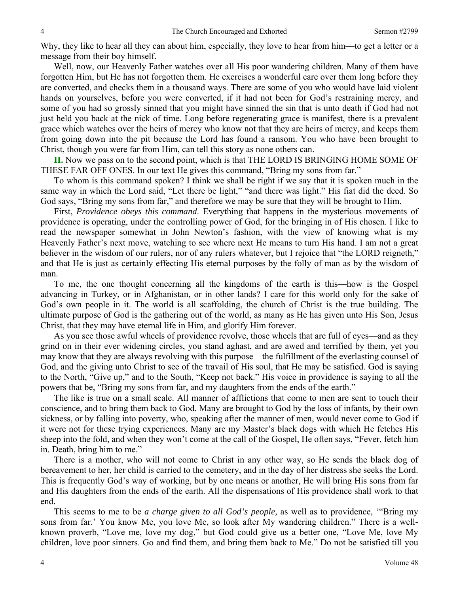Why, they like to hear all they can about him, especially, they love to hear from him—to get a letter or a message from their boy himself.

Well, now, our Heavenly Father watches over all His poor wandering children. Many of them have forgotten Him, but He has not forgotten them. He exercises a wonderful care over them long before they are converted, and checks them in a thousand ways. There are some of you who would have laid violent hands on yourselves, before you were converted, if it had not been for God's restraining mercy, and some of you had so grossly sinned that you might have sinned the sin that is unto death if God had not just held you back at the nick of time. Long before regenerating grace is manifest, there is a prevalent grace which watches over the heirs of mercy who know not that they are heirs of mercy, and keeps them from going down into the pit because the Lord has found a ransom. You who have been brought to Christ, though you were far from Him, can tell this story as none others can.

**II.** Now we pass on to the second point, which is that THE LORD IS BRINGING HOME SOME OF THESE FAR OFF ONES. In our text He gives this command, "Bring my sons from far."

To whom is this command spoken? I think we shall be right if we say that it is spoken much in the same way in which the Lord said, "Let there be light," "and there was light." His fiat did the deed. So God says, "Bring my sons from far," and therefore we may be sure that they will be brought to Him.

First, *Providence obeys this command*. Everything that happens in the mysterious movements of providence is operating, under the controlling power of God, for the bringing in of His chosen. I like to read the newspaper somewhat in John Newton's fashion, with the view of knowing what is my Heavenly Father's next move, watching to see where next He means to turn His hand. I am not a great believer in the wisdom of our rulers, nor of any rulers whatever, but I rejoice that "the LORD reigneth," and that He is just as certainly effecting His eternal purposes by the folly of man as by the wisdom of man.

To me, the one thought concerning all the kingdoms of the earth is this—how is the Gospel advancing in Turkey, or in Afghanistan, or in other lands? I care for this world only for the sake of God's own people in it. The world is all scaffolding, the church of Christ is the true building. The ultimate purpose of God is the gathering out of the world, as many as He has given unto His Son, Jesus Christ, that they may have eternal life in Him, and glorify Him forever.

As you see those awful wheels of providence revolve, those wheels that are full of eyes—and as they grind on in their ever widening circles, you stand aghast, and are awed and terrified by them, yet you may know that they are always revolving with this purpose—the fulfillment of the everlasting counsel of God, and the giving unto Christ to see of the travail of His soul, that He may be satisfied. God is saying to the North, "Give up," and to the South, "Keep not back." His voice in providence is saying to all the powers that be, "Bring my sons from far, and my daughters from the ends of the earth."

The like is true on a small scale. All manner of afflictions that come to men are sent to touch their conscience, and to bring them back to God. Many are brought to God by the loss of infants, by their own sickness, or by falling into poverty, who, speaking after the manner of men, would never come to God if it were not for these trying experiences. Many are my Master's black dogs with which He fetches His sheep into the fold, and when they won't come at the call of the Gospel, He often says, "Fever, fetch him in. Death, bring him to me."

There is a mother, who will not come to Christ in any other way, so He sends the black dog of bereavement to her, her child is carried to the cemetery, and in the day of her distress she seeks the Lord. This is frequently God's way of working, but by one means or another, He will bring His sons from far and His daughters from the ends of the earth. All the dispensations of His providence shall work to that end.

This seems to me to be *a charge given to all God's people,* as well as to providence, '"Bring my sons from far.' You know Me, you love Me, so look after My wandering children." There is a wellknown proverb, "Love me, love my dog," but God could give us a better one, "Love Me, love My children, love poor sinners. Go and find them, and bring them back to Me." Do not be satisfied till you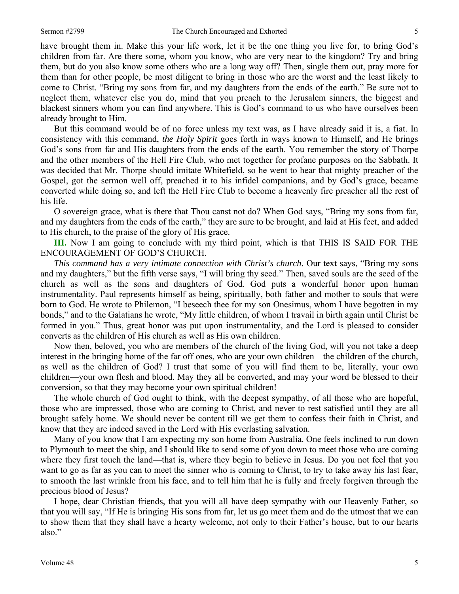have brought them in. Make this your life work, let it be the one thing you live for, to bring God's children from far. Are there some, whom you know, who are very near to the kingdom? Try and bring them, but do you also know some others who are a long way off? Then, single them out, pray more for them than for other people, be most diligent to bring in those who are the worst and the least likely to come to Christ. "Bring my sons from far, and my daughters from the ends of the earth." Be sure not to neglect them, whatever else you do, mind that you preach to the Jerusalem sinners, the biggest and blackest sinners whom you can find anywhere. This is God's command to us who have ourselves been already brought to Him.

But this command would be of no force unless my text was, as I have already said it is, a fiat. In consistency with this command, *the Holy Spirit* goes forth in ways known to Himself, and He brings God's sons from far and His daughters from the ends of the earth. You remember the story of Thorpe and the other members of the Hell Fire Club, who met together for profane purposes on the Sabbath. It was decided that Mr. Thorpe should imitate Whitefield, so he went to hear that mighty preacher of the Gospel, got the sermon well off, preached it to his infidel companions, and by God's grace, became converted while doing so, and left the Hell Fire Club to become a heavenly fire preacher all the rest of his life.

O sovereign grace, what is there that Thou canst not do? When God says, "Bring my sons from far, and my daughters from the ends of the earth," they are sure to be brought, and laid at His feet, and added to His church, to the praise of the glory of His grace.

**III.** Now I am going to conclude with my third point, which is that THIS IS SAID FOR THE ENCOURAGEMENT OF GOD'S CHURCH.

*This command has a very intimate connection with Christ's church*. Our text says, "Bring my sons and my daughters," but the fifth verse says, "I will bring thy seed." Then, saved souls are the seed of the church as well as the sons and daughters of God. God puts a wonderful honor upon human instrumentality. Paul represents himself as being, spiritually, both father and mother to souls that were born to God. He wrote to Philemon, "I beseech thee for my son Onesimus, whom I have begotten in my bonds," and to the Galatians he wrote, "My little children, of whom I travail in birth again until Christ be formed in you." Thus, great honor was put upon instrumentality, and the Lord is pleased to consider converts as the children of His church as well as His own children.

Now then, beloved, you who are members of the church of the living God, will you not take a deep interest in the bringing home of the far off ones, who are your own children—the children of the church, as well as the children of God? I trust that some of you will find them to be, literally, your own children—your own flesh and blood. May they all be converted, and may your word be blessed to their conversion, so that they may become your own spiritual children!

The whole church of God ought to think, with the deepest sympathy, of all those who are hopeful, those who are impressed, those who are coming to Christ, and never to rest satisfied until they are all brought safely home. We should never be content till we get them to confess their faith in Christ, and know that they are indeed saved in the Lord with His everlasting salvation.

Many of you know that I am expecting my son home from Australia. One feels inclined to run down to Plymouth to meet the ship, and I should like to send some of you down to meet those who are coming where they first touch the land—that is, where they begin to believe in Jesus. Do you not feel that you want to go as far as you can to meet the sinner who is coming to Christ, to try to take away his last fear, to smooth the last wrinkle from his face, and to tell him that he is fully and freely forgiven through the precious blood of Jesus?

I hope, dear Christian friends, that you will all have deep sympathy with our Heavenly Father, so that you will say, "If He is bringing His sons from far, let us go meet them and do the utmost that we can to show them that they shall have a hearty welcome, not only to their Father's house, but to our hearts also."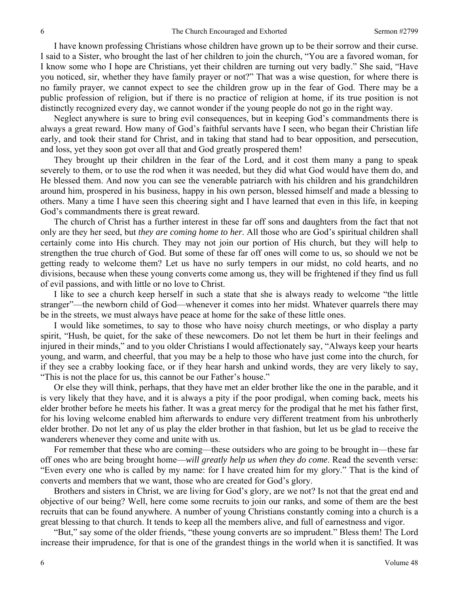I have known professing Christians whose children have grown up to be their sorrow and their curse. I said to a Sister, who brought the last of her children to join the church, "You are a favored woman, for I know some who I hope are Christians, yet their children are turning out very badly." She said, "Have you noticed, sir, whether they have family prayer or not?" That was a wise question, for where there is no family prayer, we cannot expect to see the children grow up in the fear of God. There may be a public profession of religion, but if there is no practice of religion at home, if its true position is not distinctly recognized every day, we cannot wonder if the young people do not go in the right way.

Neglect anywhere is sure to bring evil consequences, but in keeping God's commandments there is always a great reward. How many of God's faithful servants have I seen, who began their Christian life early, and took their stand for Christ, and in taking that stand had to bear opposition, and persecution, and loss, yet they soon got over all that and God greatly prospered them!

They brought up their children in the fear of the Lord, and it cost them many a pang to speak severely to them, or to use the rod when it was needed, but they did what God would have them do, and He blessed them. And now you can see the venerable patriarch with his children and his grandchildren around him, prospered in his business, happy in his own person, blessed himself and made a blessing to others. Many a time I have seen this cheering sight and I have learned that even in this life, in keeping God's commandments there is great reward.

The church of Christ has a further interest in these far off sons and daughters from the fact that not only are they her seed, but *they are coming home to her*. All those who are God's spiritual children shall certainly come into His church. They may not join our portion of His church, but they will help to strengthen the true church of God. But some of these far off ones will come to us, so should we not be getting ready to welcome them? Let us have no surly tempers in our midst, no cold hearts, and no divisions, because when these young converts come among us, they will be frightened if they find us full of evil passions, and with little or no love to Christ.

I like to see a church keep herself in such a state that she is always ready to welcome "the little stranger"—the newborn child of God—whenever it comes into her midst. Whatever quarrels there may be in the streets, we must always have peace at home for the sake of these little ones.

I would like sometimes, to say to those who have noisy church meetings, or who display a party spirit, "Hush, be quiet, for the sake of these newcomers. Do not let them be hurt in their feelings and injured in their minds," and to you older Christians I would affectionately say, "Always keep your hearts young, and warm, and cheerful, that you may be a help to those who have just come into the church, for if they see a crabby looking face, or if they hear harsh and unkind words, they are very likely to say, "This is not the place for us, this cannot be our Father's house."

Or else they will think, perhaps, that they have met an elder brother like the one in the parable, and it is very likely that they have, and it is always a pity if the poor prodigal, when coming back, meets his elder brother before he meets his father. It was a great mercy for the prodigal that he met his father first, for his loving welcome enabled him afterwards to endure very different treatment from his unbrotherly elder brother. Do not let any of us play the elder brother in that fashion, but let us be glad to receive the wanderers whenever they come and unite with us.

For remember that these who are coming—these outsiders who are going to be brought in—these far off ones who are being brought home—*will greatly help us when they do come*. Read the seventh verse: "Even every one who is called by my name: for I have created him for my glory." That is the kind of converts and members that we want, those who are created for God's glory.

Brothers and sisters in Christ, we are living for God's glory, are we not? Is not that the great end and objective of our being? Well, here come some recruits to join our ranks, and some of them are the best recruits that can be found anywhere. A number of young Christians constantly coming into a church is a great blessing to that church. It tends to keep all the members alive, and full of earnestness and vigor.

"But," say some of the older friends, "these young converts are so imprudent." Bless them! The Lord increase their imprudence, for that is one of the grandest things in the world when it is sanctified. It was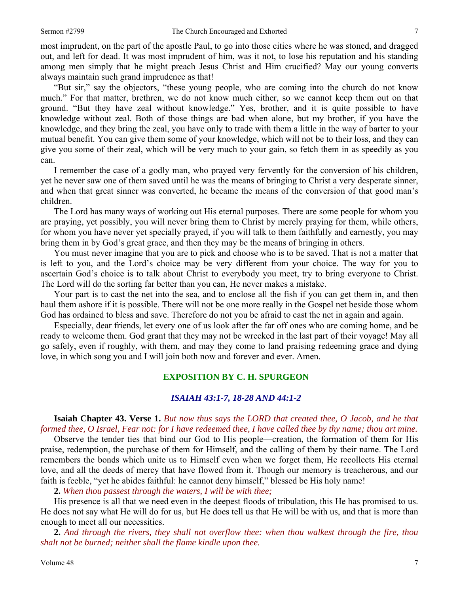most imprudent, on the part of the apostle Paul, to go into those cities where he was stoned, and dragged out, and left for dead. It was most imprudent of him, was it not, to lose his reputation and his standing among men simply that he might preach Jesus Christ and Him crucified? May our young converts always maintain such grand imprudence as that!

"But sir," say the objectors, "these young people, who are coming into the church do not know much." For that matter, brethren, we do not know much either, so we cannot keep them out on that ground. "But they have zeal without knowledge." Yes, brother, and it is quite possible to have knowledge without zeal. Both of those things are bad when alone, but my brother, if you have the knowledge, and they bring the zeal, you have only to trade with them a little in the way of barter to your mutual benefit. You can give them some of your knowledge, which will not be to their loss, and they can give you some of their zeal, which will be very much to your gain, so fetch them in as speedily as you can.

I remember the case of a godly man, who prayed very fervently for the conversion of his children, yet he never saw one of them saved until he was the means of bringing to Christ a very desperate sinner, and when that great sinner was converted, he became the means of the conversion of that good man's children.

The Lord has many ways of working out His eternal purposes. There are some people for whom you are praying, yet possibly, you will never bring them to Christ by merely praying for them, while others, for whom you have never yet specially prayed, if you will talk to them faithfully and earnestly, you may bring them in by God's great grace, and then they may be the means of bringing in others.

You must never imagine that you are to pick and choose who is to be saved. That is not a matter that is left to you, and the Lord's choice may be very different from your choice. The way for you to ascertain God's choice is to talk about Christ to everybody you meet, try to bring everyone to Christ. The Lord will do the sorting far better than you can, He never makes a mistake.

Your part is to cast the net into the sea, and to enclose all the fish if you can get them in, and then haul them ashore if it is possible. There will not be one more really in the Gospel net beside those whom God has ordained to bless and save. Therefore do not you be afraid to cast the net in again and again.

Especially, dear friends, let every one of us look after the far off ones who are coming home, and be ready to welcome them. God grant that they may not be wrecked in the last part of their voyage! May all go safely, even if roughly, with them, and may they come to land praising redeeming grace and dying love, in which song you and I will join both now and forever and ever. Amen.

### **EXPOSITION BY C. H. SPURGEON**

#### *ISAIAH 43:1-7, 18-28 AND 44:1-2*

**Isaiah Chapter 43. Verse 1.** *But now thus says the LORD that created thee, O Jacob, and he that formed thee, O Israel, Fear not: for I have redeemed thee, I have called thee by thy name; thou art mine.* 

Observe the tender ties that bind our God to His people—creation, the formation of them for His praise, redemption, the purchase of them for Himself, and the calling of them by their name. The Lord remembers the bonds which unite us to Himself even when we forget them, He recollects His eternal love, and all the deeds of mercy that have flowed from it. Though our memory is treacherous, and our faith is feeble, "yet he abides faithful: he cannot deny himself," blessed be His holy name!

**2.** *When thou passest through the waters, I will be with thee;* 

His presence is all that we need even in the deepest floods of tribulation, this He has promised to us. He does not say what He will do for us, but He does tell us that He will be with us, and that is more than enough to meet all our necessities.

**2.** *And through the rivers, they shall not overflow thee: when thou walkest through the fire, thou shalt not be burned; neither shall the flame kindle upon thee.*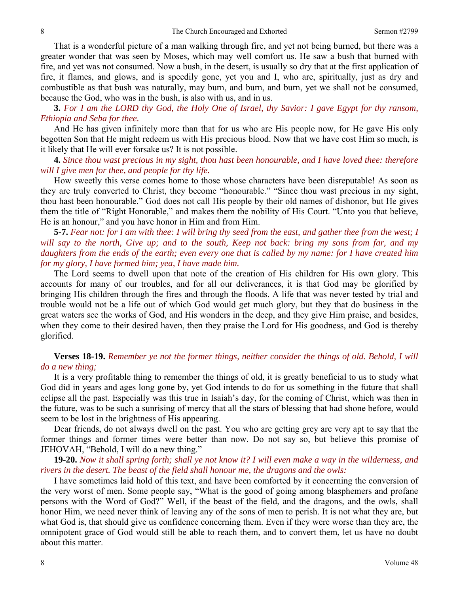That is a wonderful picture of a man walking through fire, and yet not being burned, but there was a greater wonder that was seen by Moses, which may well comfort us. He saw a bush that burned with fire, and yet was not consumed. Now a bush, in the desert, is usually so dry that at the first application of fire, it flames, and glows, and is speedily gone, yet you and I, who are, spiritually, just as dry and combustible as that bush was naturally, may burn, and burn, and burn, yet we shall not be consumed, because the God, who was in the bush, is also with us, and in us.

**3.** *For I am the LORD thy God, the Holy One of Israel, thy Savior: I gave Egypt for thy ransom, Ethiopia and Seba for thee.* 

And He has given infinitely more than that for us who are His people now, for He gave His only begotten Son that He might redeem us with His precious blood. Now that we have cost Him so much, is it likely that He will ever forsake us? It is not possible.

**4.** *Since thou wast precious in my sight, thou hast been honourable, and I have loved thee: therefore will I give men for thee, and people for thy life.* 

How sweetly this verse comes home to those whose characters have been disreputable! As soon as they are truly converted to Christ, they become "honourable." "Since thou wast precious in my sight, thou hast been honourable." God does not call His people by their old names of dishonor, but He gives them the title of "Right Honorable," and makes them the nobility of His Court. "Unto you that believe, He is an honour," and you have honor in Him and from Him.

**5-7.** *Fear not: for I am with thee: I will bring thy seed from the east, and gather thee from the west; I will say to the north, Give up; and to the south, Keep not back: bring my sons from far, and my daughters from the ends of the earth; even every one that is called by my name: for I have created him for my glory, I have formed him; yea, I have made him.* 

The Lord seems to dwell upon that note of the creation of His children for His own glory. This accounts for many of our troubles, and for all our deliverances, it is that God may be glorified by bringing His children through the fires and through the floods. A life that was never tested by trial and trouble would not be a life out of which God would get much glory, but they that do business in the great waters see the works of God, and His wonders in the deep, and they give Him praise, and besides, when they come to their desired haven, then they praise the Lord for His goodness, and God is thereby glorified.

## **Verses 18-19.** *Remember ye not the former things, neither consider the things of old. Behold, I will do a new thing;*

It is a very profitable thing to remember the things of old, it is greatly beneficial to us to study what God did in years and ages long gone by, yet God intends to do for us something in the future that shall eclipse all the past. Especially was this true in Isaiah's day, for the coming of Christ, which was then in the future, was to be such a sunrising of mercy that all the stars of blessing that had shone before, would seem to be lost in the brightness of His appearing.

Dear friends, do not always dwell on the past. You who are getting grey are very apt to say that the former things and former times were better than now. Do not say so, but believe this promise of JEHOVAH, "Behold, I will do a new thing."

**19-20.** *Now it shall spring forth; shall ye not know it? I will even make a way in the wilderness, and rivers in the desert. The beast of the field shall honour me, the dragons and the owls:* 

I have sometimes laid hold of this text, and have been comforted by it concerning the conversion of the very worst of men. Some people say, "What is the good of going among blasphemers and profane persons with the Word of God?" Well, if the beast of the field, and the dragons, and the owls, shall honor Him, we need never think of leaving any of the sons of men to perish. It is not what they are, but what God is, that should give us confidence concerning them. Even if they were worse than they are, the omnipotent grace of God would still be able to reach them, and to convert them, let us have no doubt about this matter.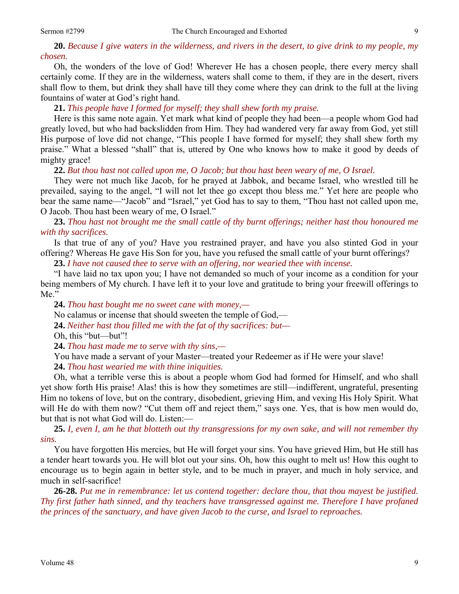**20.** *Because I give waters in the wilderness, and rivers in the desert, to give drink to my people, my chosen.* 

Oh, the wonders of the love of God! Wherever He has a chosen people, there every mercy shall certainly come. If they are in the wilderness, waters shall come to them, if they are in the desert, rivers shall flow to them, but drink they shall have till they come where they can drink to the full at the living fountains of water at God's right hand.

**21.** *This people have I formed for myself; they shall shew forth my praise.* 

Here is this same note again. Yet mark what kind of people they had been—a people whom God had greatly loved, but who had backslidden from Him. They had wandered very far away from God, yet still His purpose of love did not change, "This people I have formed for myself; they shall shew forth my praise." What a blessed "shall" that is, uttered by One who knows how to make it good by deeds of mighty grace!

**22.** *But thou hast not called upon me, O Jacob; but thou hast been weary of me, O Israel.* 

They were not much like Jacob, for he prayed at Jabbok, and became Israel, who wrestled till he prevailed, saying to the angel, "I will not let thee go except thou bless me." Yet here are people who bear the same name—"Jacob" and "Israel," yet God has to say to them, "Thou hast not called upon me, O Jacob. Thou hast been weary of me, O Israel."

**23.** *Thou hast not brought me the small cattle of thy burnt offerings; neither hast thou honoured me with thy sacrifices.* 

Is that true of any of you? Have you restrained prayer, and have you also stinted God in your offering? Whereas He gave His Son for you, have you refused the small cattle of your burnt offerings?

**23.** *I have not caused thee to serve with an offering, nor wearied thee with incense.* 

"I have laid no tax upon you; I have not demanded so much of your income as a condition for your being members of My church. I have left it to your love and gratitude to bring your freewill offerings to Me."

**24.** *Thou hast bought me no sweet cane with money,—* 

No calamus or incense that should sweeten the temple of God,—

**24.** *Neither hast thou filled me with the fat of thy sacrifices: but—* 

Oh, this "but—but"!

**24.** *Thou hast made me to serve with thy sins,—* 

You have made a servant of your Master—treated your Redeemer as if He were your slave!

**24.** *Thou hast wearied me with thine iniquities.* 

Oh, what a terrible verse this is about a people whom God had formed for Himself, and who shall yet show forth His praise! Alas! this is how they sometimes are still—indifferent, ungrateful, presenting Him no tokens of love, but on the contrary, disobedient, grieving Him, and vexing His Holy Spirit. What will He do with them now? "Cut them off and reject them," says one. Yes, that is how men would do, but that is not what God will do. Listen:—

**25.** *I, even I, am he that blotteth out thy transgressions for my own sake, and will not remember thy sins.* 

You have forgotten His mercies, but He will forget your sins. You have grieved Him, but He still has a tender heart towards you. He will blot out your sins. Oh, how this ought to melt us! How this ought to encourage us to begin again in better style, and to be much in prayer, and much in holy service, and much in self-sacrifice!

**26-28.** *Put me in remembrance: let us contend together: declare thou, that thou mayest be justified. Thy first father hath sinned, and thy teachers have transgressed against me. Therefore I have profaned the princes of the sanctuary, and have given Jacob to the curse, and Israel to reproaches.*